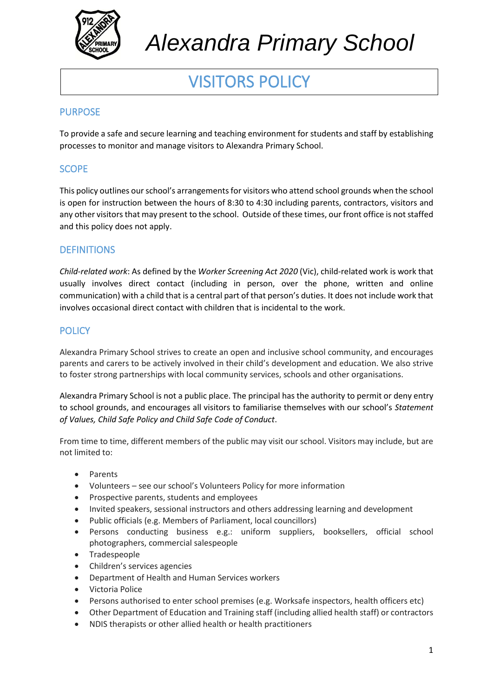

# VISITORS POLICY

# PURPOSE

To provide a safe and secure learning and teaching environment for students and staff by establishing processes to monitor and manage visitors to Alexandra Primary School.

# SCOPE

This policy outlines our school's arrangements for visitors who attend school grounds when the school is open for instruction between the hours of 8:30 to 4:30 including parents, contractors, visitors and any other visitors that may present to the school. Outside of these times, our front office is not staffed and this policy does not apply.

## **DEFINITIONS**

*Child-related work*: As defined by the *Worker Screening Act 2020* (Vic), child-related work is work that usually involves direct contact (including in person, over the phone, written and online communication) with a child that is a central part of that person's duties. It does not include work that involves occasional direct contact with children that is incidental to the work.

## **POLICY**

Alexandra Primary School strives to create an open and inclusive school community, and encourages parents and carers to be actively involved in their child's development and education. We also strive to foster strong partnerships with local community services, schools and other organisations.

Alexandra Primary School is not a public place. The principal has the authority to permit or deny entry to school grounds, and encourages all visitors to familiarise themselves with our school's *Statement of Values, Child Safe Policy and Child Safe Code of Conduct*.

From time to time, different members of the public may visit our school. Visitors may include, but are not limited to:

- Parents
- Volunteers see our school's Volunteers Policy for more information
- Prospective parents, students and employees
- Invited speakers, sessional instructors and others addressing learning and development
- Public officials (e.g. Members of Parliament, local councillors)
- Persons conducting business e.g.: uniform suppliers, booksellers, official school photographers, commercial salespeople
- Tradespeople
- Children's services agencies
- Department of Health and Human Services workers
- Victoria Police
- Persons authorised to enter school premises (e.g. Worksafe inspectors, health officers etc)
- Other Department of Education and Training staff (including allied health staff) or contractors
- NDIS therapists or other allied health or health practitioners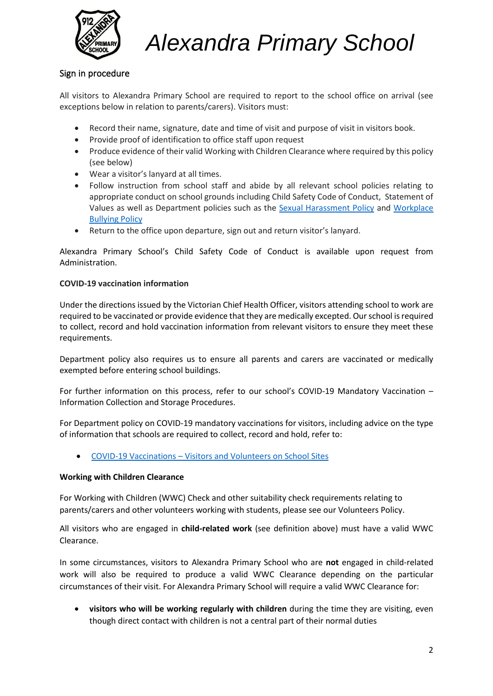

## Sign in procedure

All visitors to Alexandra Primary School are required to report to the school office on arrival (see exceptions below in relation to parents/carers). Visitors must:

- Record their name, signature, date and time of visit and purpose of visit in visitors book.
- Provide proof of identification to office staff upon request
- Produce evidence of their valid Working with Children Clearance where required by this policy (see below)
- Wear a visitor's lanyard at all times.
- Follow instruction from school staff and abide by all relevant school policies relating to appropriate conduct on school grounds including Child Safety Code of Conduct, Statement of Values as well as Department policies such as the [Sexual Harassment Policy](https://www2.education.vic.gov.au/pal/sexual-harassment/overview) and [Workplace](https://www2.education.vic.gov.au/pal/workplace-bullying/policy)  [Bullying Policy](https://www2.education.vic.gov.au/pal/workplace-bullying/policy)
- Return to the office upon departure, sign out and return visitor's lanyard.

Alexandra Primary School's Child Safety Code of Conduct is available upon request from Administration.

#### **COVID-19 vaccination information**

Under the directions issued by the Victorian Chief Health Officer, visitors attending school to work are required to be vaccinated or provide evidence that they are medically excepted. Our school is required to collect, record and hold vaccination information from relevant visitors to ensure they meet these requirements.

Department policy also requires us to ensure all parents and carers are vaccinated or medically exempted before entering school buildings.

For further information on this process, refer to our school's COVID-19 Mandatory Vaccination – Information Collection and Storage Procedures.

For Department policy on COVID-19 mandatory vaccinations for visitors, including advice on the type of information that schools are required to collect, record and hold, refer to:

• COVID-19 Vaccinations – [Visitors and Volunteers on School Sites](https://www2.education.vic.gov.au/pal/covid-19-vaccinations-visitors-volunteers/policy)

#### **Working with Children Clearance**

For Working with Children (WWC) Check and other suitability check requirements relating to parents/carers and other volunteers working with students, please see our Volunteers Policy.

All visitors who are engaged in **child-related work** (see definition above) must have a valid WWC Clearance.

In some circumstances, visitors to Alexandra Primary School who are **not** engaged in child-related work will also be required to produce a valid WWC Clearance depending on the particular circumstances of their visit. For Alexandra Primary School will require a valid WWC Clearance for:

• **visitors who will be working regularly with children** during the time they are visiting, even though direct contact with children is not a central part of their normal duties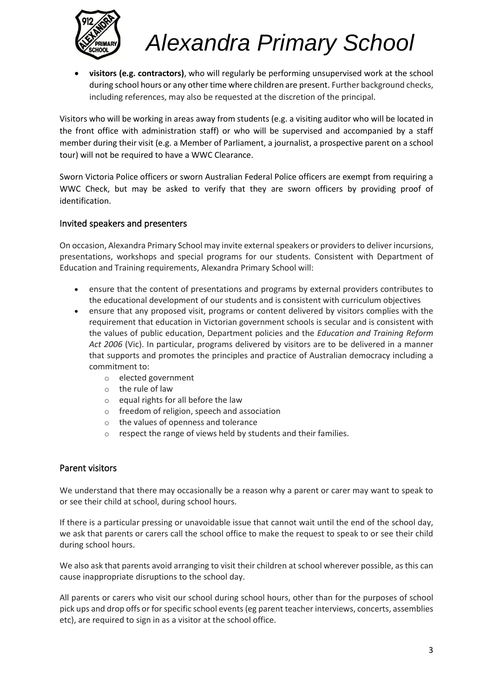

• **visitors (e.g. contractors)**, who will regularly be performing unsupervised work at the school during school hours or any other time where children are present. Further background checks, including references, may also be requested at the discretion of the principal.

Visitors who will be working in areas away from students (e.g. a visiting auditor who will be located in the front office with administration staff) or who will be supervised and accompanied by a staff member during their visit (e.g. a Member of Parliament, a journalist, a prospective parent on a school tour) will not be required to have a WWC Clearance.

Sworn Victoria Police officers or sworn Australian Federal Police officers are exempt from requiring a WWC Check, but may be asked to verify that they are sworn officers by providing proof of identification.

#### Invited speakers and presenters

On occasion, Alexandra Primary School may invite external speakers or providersto deliver incursions, presentations, workshops and special programs for our students. Consistent with Department of Education and Training requirements, Alexandra Primary School will:

- ensure that the content of presentations and programs by external providers contributes to the educational development of our students and is consistent with curriculum objectives
- ensure that any proposed visit, programs or content delivered by visitors complies with the requirement that education in Victorian government schools is secular and is consistent with the values of public education, Department policies and the *Education and Training Reform Act 2006* (Vic). In particular, programs delivered by visitors are to be delivered in a manner that supports and promotes the principles and practice of Australian democracy including a commitment to:
	- o elected government
	- o the rule of law
	- o equal rights for all before the law
	- o freedom of religion, speech and association
	- o the values of openness and tolerance
	- o respect the range of views held by students and their families.

### Parent visitors

We understand that there may occasionally be a reason why a parent or carer may want to speak to or see their child at school, during school hours.

If there is a particular pressing or unavoidable issue that cannot wait until the end of the school day, we ask that parents or carers call the school office to make the request to speak to or see their child during school hours.

We also ask that parents avoid arranging to visit their children at school wherever possible, as this can cause inappropriate disruptions to the school day.

All parents or carers who visit our school during school hours, other than for the purposes of school pick ups and drop offs or for specific school events (eg parent teacher interviews, concerts, assemblies etc), are required to sign in as a visitor at the school office.